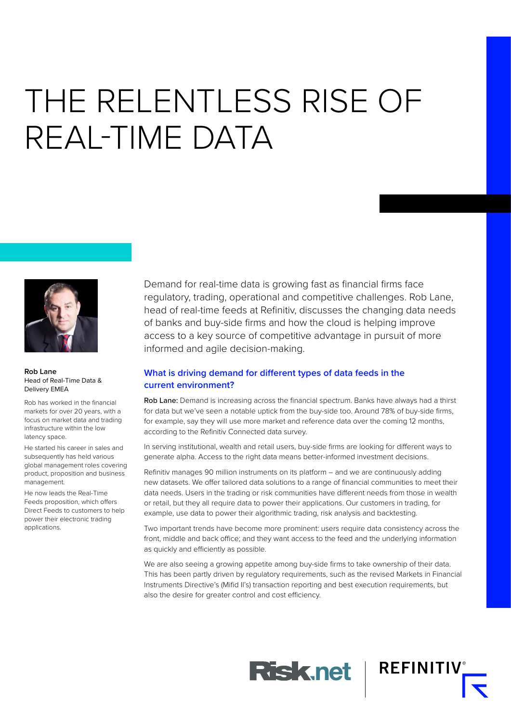# THE RELENTLESS RISE OF REAL-TIME DATA



**Rob Lane** Head of Real-Time Data & Delivery EMEA

Rob has worked in the financial markets for over 20 years, with a focus on market data and trading infrastructure within the low latency space.

He started his career in sales and subsequently has held various global management roles covering product, proposition and business management.

He now leads the Real-Time Feeds proposition, which offers Direct Feeds to customers to help power their electronic trading applications.

Demand for real-time data is growing fast as financial firms face regulatory, trading, operational and competitive challenges. Rob Lane, head of real-time feeds at Refinitiv, discusses the changing data needs of banks and buy-side firms and how the cloud is helping improve access to a key source of competitive advantage in pursuit of more informed and agile decision-making.

### **What is driving demand for different types of data feeds in the current environment?**

Rob Lane: Demand is increasing across the financial spectrum. Banks have always had a thirst for data but we've seen a notable uptick from the buy-side too. Around 78% of buy-side firms, for example, say they will use more market and reference data over the coming 12 months, according to the Refinitiv Connected data survey.

In serving institutional, wealth and retail users, buy-side firms are looking for different ways to generate alpha. Access to the right data means better-informed investment decisions.

Refinitiv manages 90 million instruments on its platform – and we are continuously adding new datasets. We offer tailored data solutions to a range of financial communities to meet their data needs. Users in the trading or risk communities have different needs from those in wealth or retail, but they all require data to power their applications. Our customers in trading, for example, use data to power their algorithmic trading, risk analysis and backtesting.

Two important trends have become more prominent: users require data consistency across the front, middle and back office; and they want access to the feed and the underlying information as quickly and efficiently as possible.

We are also seeing a growing appetite among buy-side firms to take ownership of their data. This has been partly driven by regulatory requirements, such as the revised Markets in Financial Instruments Directive's (Mifid II's) transaction reporting and best execution requirements, but also the desire for greater control and cost efficiency.

**Risk.net** 

**REFINITIV**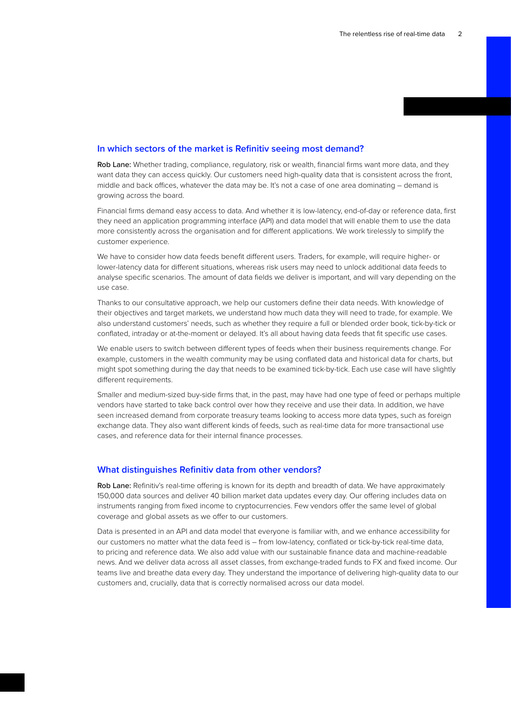#### **In which sectors of the market is Refinitiv seeing most demand?**

Rob Lane: Whether trading, compliance, regulatory, risk or wealth, financial firms want more data, and they want data they can access quickly. Our customers need high-quality data that is consistent across the front, middle and back offices, whatever the data may be. It's not a case of one area dominating – demand is growing across the board.

Financial firms demand easy access to data. And whether it is low-latency, end-of-day or reference data, first they need an application programming interface (API) and data model that will enable them to use the data more consistently across the organisation and for different applications. We work tirelessly to simplify the customer experience.

We have to consider how data feeds benefit different users. Traders, for example, will require higher- or lower-latency data for different situations, whereas risk users may need to unlock additional data feeds to analyse specific scenarios. The amount of data fields we deliver is important, and will vary depending on the use case.

Thanks to our consultative approach, we help our customers define their data needs. With knowledge of their objectives and target markets, we understand how much data they will need to trade, for example. We also understand customers' needs, such as whether they require a full or blended order book, tick-by-tick or conflated, intraday or at-the-moment or delayed. It's all about having data feeds that fit specific use cases.

We enable users to switch between different types of feeds when their business requirements change. For example, customers in the wealth community may be using conflated data and historical data for charts, but might spot something during the day that needs to be examined tick-by-tick. Each use case will have slightly different requirements.

Smaller and medium-sized buy-side firms that, in the past, may have had one type of feed or perhaps multiple vendors have started to take back control over how they receive and use their data. In addition, we have seen increased demand from corporate treasury teams looking to access more data types, such as foreign exchange data. They also want different kinds of feeds, such as real-time data for more transactional use cases, and reference data for their internal finance processes.

#### **What distinguishes Refinitiv data from other vendors?**

Rob Lane: Refinitiv's real-time offering is known for its depth and breadth of data. We have approximately 150,000 data sources and deliver 40 billion market data updates every day. Our offering includes data on instruments ranging from fixed income to cryptocurrencies. Few vendors offer the same level of global coverage and global assets as we offer to our customers.

Data is presented in an API and data model that everyone is familiar with, and we enhance accessibility for our customers no matter what the data feed is – from low-latency, conflated or tick-by-tick real-time data, to pricing and reference data. We also add value with our sustainable finance data and machine-readable news. And we deliver data across all asset classes, from exchange-traded funds to FX and fixed income. Our teams live and breathe data every day. They understand the importance of delivering high-quality data to our customers and, crucially, data that is correctly normalised across our data model.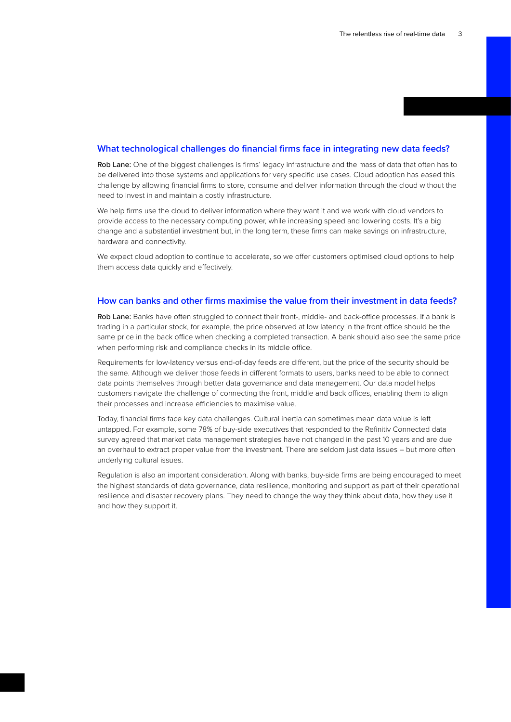#### **What technological challenges do financial firms face in integrating new data feeds?**

Rob Lane: One of the biggest challenges is firms' legacy infrastructure and the mass of data that often has to be delivered into those systems and applications for very specific use cases. Cloud adoption has eased this challenge by allowing financial firms to store, consume and deliver information through the cloud without the need to invest in and maintain a costly infrastructure.

We help firms use the cloud to deliver information where they want it and we work with cloud vendors to provide access to the necessary computing power, while increasing speed and lowering costs. It's a big change and a substantial investment but, in the long term, these firms can make savings on infrastructure, hardware and connectivity.

We expect cloud adoption to continue to accelerate, so we offer customers optimised cloud options to help them access data quickly and effectively.

#### **How can banks and other firms maximise the value from their investment in data feeds?**

Rob Lane: Banks have often struggled to connect their front-, middle- and back-office processes. If a bank is trading in a particular stock, for example, the price observed at low latency in the front office should be the same price in the back office when checking a completed transaction. A bank should also see the same price when performing risk and compliance checks in its middle office.

Requirements for low-latency versus end-of-day feeds are different, but the price of the security should be the same. Although we deliver those feeds in different formats to users, banks need to be able to connect data points themselves through better data governance and data management. Our data model helps customers navigate the challenge of connecting the front, middle and back offices, enabling them to align their processes and increase efficiencies to maximise value.

Today, financial firms face key data challenges. Cultural inertia can sometimes mean data value is left untapped. For example, some 78% of buy-side executives that responded to the Refinitiv Connected data survey agreed that market data management strategies have not changed in the past 10 years and are due an overhaul to extract proper value from the investment. There are seldom just data issues – but more often underlying cultural issues.

Regulation is also an important consideration. Along with banks, buy-side firms are being encouraged to meet the highest standards of data governance, data resilience, monitoring and support as part of their operational resilience and disaster recovery plans. They need to change the way they think about data, how they use it and how they support it.